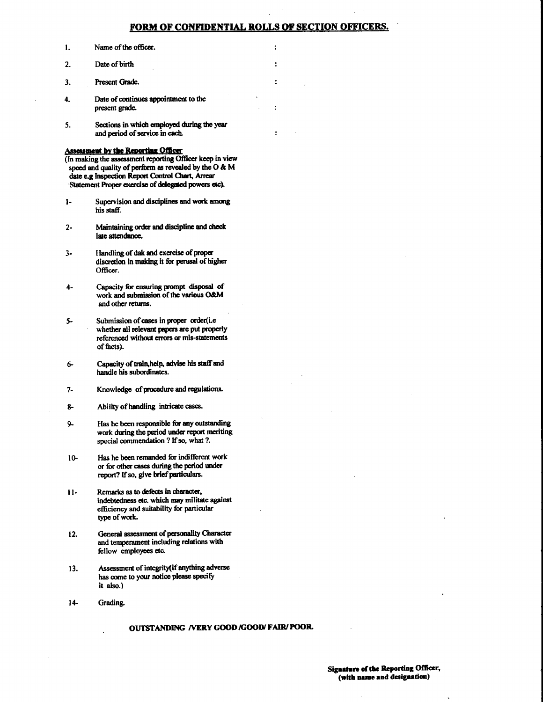## OF CONFIDENTIAL ROLLS OF SECTION OFFICERS

 $\overline{\mathbf{z}}$ 

 $\ddot{\phantom{0}}$ 

ċ

 $\ddot{\cdot}$ 

- $\mathbf{1}$ . Name of the officer.
- $\overline{2}$ Date of birth
- $3.$ Present Grade.
- Date of continues appointment to the  $\ddot{ }$ present grade.
- Sections in which employed during the year  $5.$ and period of service in each.

## **Assessment by the Reporting Officer**

- (In making the assessment reporting Officer keep in view speed and quality of perform as revealed by the O & M date e.g Inspection Report Control Chart, Arrear Statement Proper exercise of delegated powers etc).
- $\mathbf{I}$ Supervision and disciplines and work among his staff.
- Maintaining order and discipline and check  $2$ late attendance.
- $3-$ Handling of dak and exercise of proper discretion in making it for perusal of higher Officer.
- Capacity for ensuring prompt disposal of  $\mathbf{A}$ work and submission of the various O&M and other returns.
- $5-$ Submission of cases in proper order(i.e whether all relevant papers are put properly referenced without errors or mis-statements of facts).
- Capacity of train, help, advise his staff and 6handle his subordinates.
- $7-$ Knowledge of procedure and regulations.
- Ability of handling intricate cases. 8-
- Has he been responsible for any outstanding  $9$ work during the period under report meriting special commendation ? If so, what ?.
- Has he been remanded for indifferent work  $10$ or for other cases during the period under report? If so, give brief particulars.
- $11-$ Remarks as to defects in character, indebtedness etc. which may militate against efficiency and suitability for particular type of work.
- General assessment of personality Character  $12.$ and temperament including relations with fellow employees etc.
- Assessment of integrity (if anything adverse 13. has come to your notice please specify it also.)
- $14-$ Grading.

## OUTSTANDING /VERY GOOD /GOOD/ FAIR/ POOR.